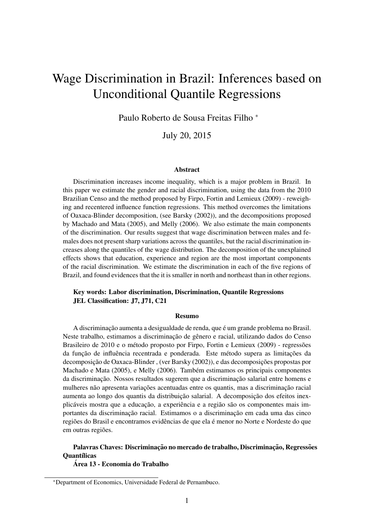# Wage Discrimination in Brazil: Inferences based on Unconditional Quantile Regressions

Paulo Roberto de Sousa Freitas Filho <sup>∗</sup>

July 20, 2015

#### Abstract

Discrimination increases income inequality, which is a major problem in Brazil. In this paper we estimate the gender and racial discrimination, using the data from the 2010 Brazilian Censo and the method proposed by Firpo, Fortin and Lemieux (2009) - reweighing and recentered influence function regressions. This method overcomes the limitations of Oaxaca-Blinder decomposition, (see Barsky (2002)), and the decompositions proposed by Machado and Mata (2005), and Melly (2006). We also estimate the main components of the discrimination. Our results suggest that wage discrimination between males and females does not present sharp variations across the quantiles, but the racial discrimination increases along the quantiles of the wage distribution. The decomposition of the unexplained effects shows that education, experience and region are the most important components of the racial discrimination. We estimate the discrimination in each of the five regions of Brazil, and found evidences that the it is smaller in north and northeast than in other regions.

#### Key words: Labor discrimination, Discrimination, Quantile Regressions JEL Classification: J7, J71, C21

#### Resumo

A discriminação aumenta a desigualdade de renda, que é um grande problema no Brasil. Neste trabalho, estimamos a discriminação de gênero e racial, utilizando dados do Censo Brasileiro de 2010 e o método proposto por Firpo, Fortin e Lemieux (2009) - regressões da função de influência recentrada e ponderada. Este método supera as limitações da decomposição de Oaxaca-Blinder, (ver Barsky (2002)), e das decomposições propostas por Machado e Mata (2005), e Melly (2006). Tambem estimamos os principais componentes ´ da discriminação. Nossos resultados sugerem que a discriminação salarial entre homens e mulheres não apresenta variações acentuadas entre os quantis, mas a discriminação racial aumenta ao longo dos quantis da distribuição salarial. A decomposição dos efeitos inexplicáveis mostra que a educação, a experiência e a região são os componentes mais importantes da discriminação racial. Estimamos o a discriminação em cada uma das cinco regiões do Brasil e encontramos evidências de que ela é menor no Norte e Nordeste do que em outras regiões.

### Palavras Chaves: Discriminação no mercado de trabalho, Discriminação, Regressões **Ouantílicas**

Area 13 - Economia do Trabalho ´

<sup>∗</sup>Department of Economics, Universidade Federal de Pernambuco.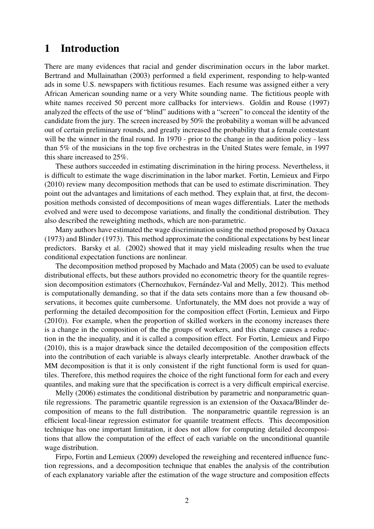## 1 Introduction

There are many evidences that racial and gender discrimination occurs in the labor market. Bertrand and Mullainathan (2003) performed a field experiment, responding to help-wanted ads in some U.S. newspapers with fictitious resumes. Each resume was assigned either a very African American sounding name or a very White sounding name. The fictitious people with white names received 50 percent more callbacks for interviews. Goldin and Rouse (1997) analyzed the effects of the use of "blind" auditions with a "screen" to conceal the identity of the candidate from the jury. The screen increased by 50% the probability a woman will be advanced out of certain preliminary rounds, and greatly increased the probability that a female contestant will be the winner in the final round. In 1970 - prior to the change in the audition policy - less than 5% of the musicians in the top five orchestras in the United States were female, in 1997 this share increased to 25%.

These authors succeeded in estimating discrimination in the hiring process. Nevertheless, it is difficult to estimate the wage discrimination in the labor market. Fortin, Lemieux and Firpo (2010) review many decomposition methods that can be used to estimate discrimination. They point out the advantages and limitations of each method. They explain that, at first, the decomposition methods consisted of decompositions of mean wages differentials. Later the methods evolved and were used to decompose variations, and finally the conditional distribution. They also described the reweighting methods, which are non-parametric.

Many authors have estimated the wage discrimination using the method proposed by Oaxaca (1973) and Blinder (1973). This method approximate the conditional expectations by best linear predictors. Barsky et al. (2002) showed that it may yield misleading results when the true conditional expectation functions are nonlinear.

The decomposition method proposed by Machado and Mata (2005) can be used to evaluate distributional effects, but these authors provided no econometric theory for the quantile regression decomposition estimators (Chernozhukov, Fernández-Val and Melly, 2012). This method is computationally demanding, so that if the data sets contains more than a few thousand observations, it becomes quite cumbersome. Unfortunately, the MM does not provide a way of performing the detailed decomposition for the composition effect (Fortin, Lemieux and Firpo (2010)). For example, when the proportion of skilled workers in the economy increases there is a change in the composition of the the groups of workers, and this change causes a reduction in the the inequality, and it is called a composition effect. For Fortin, Lemieux and Firpo (2010), this is a major drawback since the detailed decomposition of the composition effects into the contribution of each variable is always clearly interpretable. Another drawback of the MM decomposition is that it is only consistent if the right functional form is used for quantiles. Therefore, this method requires the choice of the right functional form for each and every quantiles, and making sure that the specification is correct is a very difficult empirical exercise.

Melly (2006) estimates the conditional distribution by parametric and nonparametric quantile regressions. The parametric quantile regression is an extension of the Oaxaca/Blinder decomposition of means to the full distribution. The nonparametric quantile regression is an efficient local-linear regression estimator for quantile treatment effects. This decomposition technique has one important limitation, it does not allow for computing detailed decompositions that allow the computation of the effect of each variable on the unconditional quantile wage distribution.

Firpo, Fortin and Lemieux (2009) developed the reweighing and recentered influence function regressions, and a decomposition technique that enables the analysis of the contribution of each explanatory variable after the estimation of the wage structure and composition effects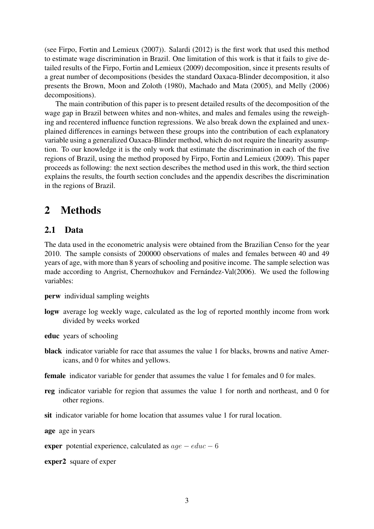(see Firpo, Fortin and Lemieux (2007)). Salardi (2012) is the first work that used this method to estimate wage discrimination in Brazil. One limitation of this work is that it fails to give detailed results of the Firpo, Fortin and Lemieux (2009) decomposition, since it presents results of a great number of decompositions (besides the standard Oaxaca-Blinder decomposition, it also presents the Brown, Moon and Zoloth (1980), Machado and Mata (2005), and Melly (2006) decompositions).

The main contribution of this paper is to present detailed results of the decomposition of the wage gap in Brazil between whites and non-whites, and males and females using the reweighing and recentered influence function regressions. We also break down the explained and unexplained differences in earnings between these groups into the contribution of each explanatory variable using a generalized Oaxaca-Blinder method, which do not require the linearity assumption. To our knowledge it is the only work that estimate the discrimination in each of the five regions of Brazil, using the method proposed by Firpo, Fortin and Lemieux (2009). This paper proceeds as following: the next section describes the method used in this work, the third section explains the results, the fourth section concludes and the appendix describes the discrimination in the regions of Brazil.

## 2 Methods

### 2.1 Data

The data used in the econometric analysis were obtained from the Brazilian Censo for the year 2010. The sample consists of 200000 observations of males and females between 40 and 49 years of age, with more than 8 years of schooling and positive income. The sample selection was made according to Angrist, Chernozhukov and Fernández-Val(2006). We used the following variables:

- perw individual sampling weights
- logw average log weekly wage, calculated as the log of reported monthly income from work divided by weeks worked
- educ years of schooling
- black indicator variable for race that assumes the value 1 for blacks, browns and native Americans, and 0 for whites and yellows.
- female indicator variable for gender that assumes the value 1 for females and 0 for males.
- reg indicator variable for region that assumes the value 1 for north and northeast, and 0 for other regions.
- sit indicator variable for home location that assumes value 1 for rural location.

age age in years

**exper** potential experience, calculated as  $age - educ - 6$ 

exper2 square of exper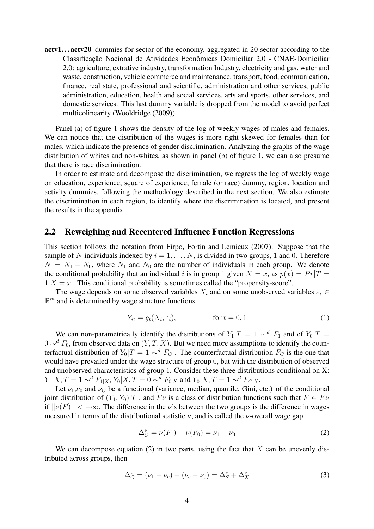actv1...actv20 dummies for sector of the economy, aggregated in 20 sector according to the Classificação Nacional de Atividades Econômicas Domiciliar 2.0 - CNAE-Domiciliar 2.0: agriculture, extrative industry, transformation Industry, electricity and gas, water and waste, construction, vehicle commerce and maintenance, transport, food, communication, finance, real state, professional and scientific, administration and other services, public administration, education, health and social services, arts and sports, other services, and domestic services. This last dummy variable is dropped from the model to avoid perfect multicolinearity (Wooldridge (2009)).

Panel (a) of figure 1 shows the density of the log of weekly wages of males and females. We can notice that the distribution of the wages is more right skewed for females than for males, which indicate the presence of gender discrimination. Analyzing the graphs of the wage distribution of whites and non-whites, as shown in panel (b) of figure 1, we can also presume that there is race discrimination.

In order to estimate and decompose the discrimination, we regress the log of weekly wage on education, experience, square of experience, female (or race) dummy, region, location and activity dummies, following the methodology described in the next section. We also estimate the discrimination in each region, to identify where the discrimination is located, and present the results in the appendix.

### 2.2 Reweighing and Recentered Influence Function Regressions

This section follows the notation from Firpo, Fortin and Lemieux (2007). Suppose that the sample of N individuals indexed by  $i = 1, \ldots, N$ , is divided in two groups, 1 and 0. Therefore  $N = N_1 + N_0$ , where  $N_1$  and  $N_0$  are the number of individuals in each group. We denote the conditional probability that an individual i is in group 1 given  $X = x$ , as  $p(x) = Pr[T = x]$  $1|X = x$ . This conditional probability is sometimes called the "propensity-score".

The wage depends on some observed variables  $X_i$  and on some unobserved variables  $\varepsilon_i \in$  $\mathbb{R}^m$  and is determined by wage structure functions

$$
Y_{it} = g_t(X_i, \varepsilon_i), \qquad \text{for } t = 0, 1 \tag{1}
$$

We can non-parametrically identify the distributions of  $Y_1|T = 1 \sim^d F_1$  and of  $Y_0|T =$  $0 \sim d F_0$ , from observed data on  $(Y, T, X)$ . But we need more assumptions to identify the counterfactual distribution of  $Y_0|T = 1 \sim d \dot{F}_C$ . The counterfactual distribution  $F_C$  is the one that would have prevailed under the wage structure of group 0, but with the distribution of observed and unobserved characteristics of group 1. Consider these three distributions conditional on X:  $Y_1|X, T = 1 \sim^d F_{1|X}, Y_0|X, T = 0 \sim^d F_{0|X}$  and  $Y_0|X, T = 1 \sim^d F_{C|X}$ .

Let  $\nu_1, \nu_0$  and  $\nu_C$  be a functional (variance, median, quantile, Gini, etc.) of the conditional joint distribution of  $(Y_1, Y_0)|T$ , and  $F\nu$  is a class of distribution functions such that  $F \in F\nu$ if  $||\nu(F)|| < +\infty$ . The difference in the v's between the two groups is the difference in wages measured in terms of the distributional statistic  $\nu$ , and is called the  $\nu$ -overall wage gap.

$$
\Delta_O^{\nu} = \nu(F_1) - \nu(F_0) = \nu_1 - \nu_0 \tag{2}
$$

We can decompose equation (2) in two parts, using the fact that  $X$  can be unevenly distributed across groups, then

$$
\Delta_O^{\nu} = (\nu_1 - \nu_c) + (\nu_c - \nu_0) = \Delta_S^{\nu} + \Delta_X^{\nu}
$$
\n(3)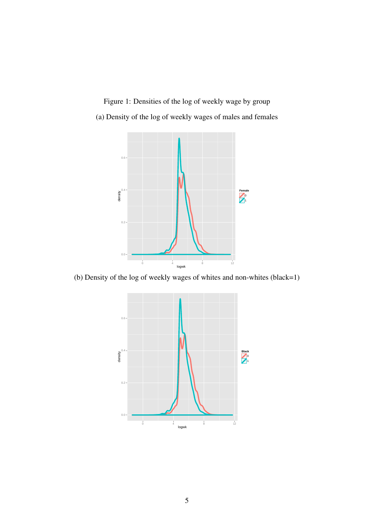Figure 1: Densities of the log of weekly wage by group (a) Density of the log of weekly wages of males and females



(b) Density of the log of weekly wages of whites and non-whites (black=1)

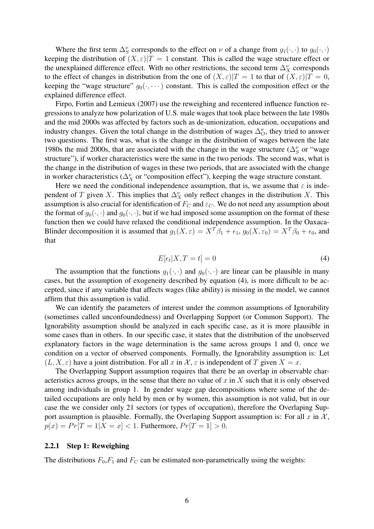Where the first term  $\Delta_S^{\nu}$  corresponds to the effect on  $\nu$  of a change from  $g_1(\cdot, \cdot)$  to  $g_0(\cdot, \cdot)$ keeping the distribution of  $(X, \varepsilon)|T = 1$  constant. This is called the wage structure effect or the unexplained difference effect. With no other restrictions, the second term  $\Delta_X^{\nu}$  corresponds to the effect of changes in distribution from the one of  $(X,\varepsilon)|T=1$  to that of  $(X,\varepsilon)|T=0$ , keeping the "wage structure"  $g_0(\cdot, \dots)$  constant. This is called the composition effect or the explained difference effect.

Firpo, Fortin and Lemieux (2007) use the reweighing and recentered influence function regressions to analyze how polarization of U.S. male wages that took place between the late 1980s and the mid 2000s was affected by factors such as de-unionization, education, occupations and industry changes. Given the total change in the distribution of wages  $\Delta_O^{\nu}$ , they tried to answer two questions. The first was, what is the change in the distribution of wages between the late 1980s the mid 2000s, that are associated with the change in the wage structure ( $\Delta_S^{\nu}$  or "wage structure"), if worker characteristics were the same in the two periods. The second was, what is the change in the distribution of wages in these two periods, that are associated with the change in worker characteristics ( $\Delta_X^{\nu}$  or "composition effect"), keeping the wage structure constant.

Here we need the conditional independence assumption, that is, we assume that  $\varepsilon$  is independent of T given X. This implies that  $\Delta_X^{\nu}$  only reflect changes in the distribution X. This assumption is also crucial for identification of  $F_C$  and  $\varepsilon_C$ . We do not need any assumption about the format of  $g_0(\cdot, \cdot)$  and  $g_0(\cdot, \cdot)$ , but if we had imposed some assumption on the format of these function then we could have relaxed the conditional independence assumption. In the Oaxaca-Blinder decomposition it is assumed that  $g_1(X, \varepsilon) = X^T \beta_1 + \varepsilon_1$ ,  $g_0(X, \varepsilon_0) = X^T \beta_0 + \varepsilon_0$ , and that

$$
E[\epsilon_t|X, T = t] = 0 \tag{4}
$$

The assumption that the functions  $g_1(\cdot, \cdot)$  and  $g_0(\cdot, \cdot)$  are linear can be plausible in many cases, but the assumption of exogeneity described by equation (4), is more difficult to be accepted, since if any variable that affects wages (like ability) is missing in the model, we cannot affirm that this assumption is valid.

We can identify the parameters of interest under the common assumptions of Ignorability (sometimes called unconfoundedness) and Overlapping Support (or Common Support). The Ignorability assumption should be analyzed in each specific case, as it is more plausible in some cases than in others. In our specific case, it states that the distribution of the unobserved explanatory factors in the wage determination is the same across groups 1 and 0, once we condition on a vector of observed components. Formally, the Ignorability assumption is: Let  $(L, X, \varepsilon)$  have a joint distribution. For all x in X,  $\varepsilon$  is independent of T given  $X = x$ .

The Overlapping Support assumption requires that there be an overlap in observable characteristics across groups, in the sense that there no value of x in X such that it is only observed among individuals in group 1. In gender wage gap decompositions where some of the detailed occupations are only held by men or by women, this assumption is not valid, but in our case the we consider only 21 sectors (or types of occupation), therefore the Overlaping Support assumption is plausible. Formally, the Overlaping Support assumption is: For all  $x$  in  $\mathcal{X}$ ,  $p(x) = Pr[T = 1|X = x] < 1$ . Futhermore,  $Pr[T = 1] > 0$ .

#### 2.2.1 Step 1: Reweighing

The distributions  $F_0, F_1$  and  $F_C$  can be estimated non-parametrically using the weights: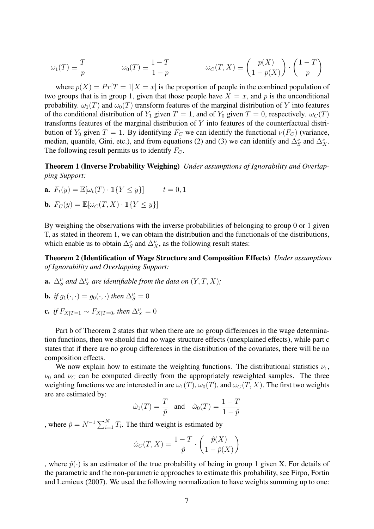$$
\omega_1(T) \equiv \frac{T}{p} \qquad \qquad \omega_0(T) \equiv \frac{1 - T}{1 - p} \qquad \qquad \omega_C(T, X) \equiv \left(\frac{p(X)}{1 - p(X)}\right) \cdot \left(\frac{1 - T}{p}\right)
$$

where  $p(X) = Pr[T = 1 | X = x]$  is the proportion of people in the combined population of two groups that is in group 1, given that those people have  $X = x$ , and p is the unconditional probability.  $\omega_1(T)$  and  $\omega_0(T)$  transform features of the marginal distribution of Y into features of the conditional distribution of  $Y_1$  given  $T = 1$ , and of  $Y_0$  given  $T = 0$ , respectively.  $\omega_C(T)$ transforms features of the marginal distribution of Y into features of the counterfactual distribution of  $Y_0$  given  $T = 1$ . By identifying  $F_C$  we can identify the functional  $\nu(F_C)$  (variance, median, quantile, Gini, etc.), and from equations (2) and (3) we can identify and  $\Delta_S^{\nu}$  and  $\Delta_X^{\nu}$ . The following result permits us to identify  $F_C$ .

Theorem 1 (Inverse Probability Weighing) *Under assumptions of Ignorability and Overlapping Support:*

**a.**  $F_t(y) = \mathbb{E}[\omega_t(T) \cdot \mathbb{1}\{Y \le y\}]$   $t = 0, 1$  $\mathbf{E}$  ( $\mathbf{E}$ )  $\mathbf{E}$  ( $\mathbf{E}$   $\mathbf{E}$ )  $\mathbf{E}$  ( $\mathbf{E}$   $\mathbf{E}$ )  $\mathbf{E}$ 

**b.** 
$$
F_C(y) = \mathbb{E}[\omega_C(T, X) \cdot \mathbb{1}\{Y \leq y\}]
$$

By weighing the observations with the inverse probabilities of belonging to group 0 or 1 given T, as stated in theorem 1, we can obtain the distribution and the functionals of the distributions, which enable us to obtain  $\Delta_S^{\nu}$  and  $\Delta_X^{\nu}$ , as the following result states:

Theorem 2 (Identification of Wage Structure and Composition Effects) *Under assumptions of Ignorability and Overlapping Support:*

**a.**  $\Delta_S^{\nu}$  and  $\Delta_X^{\nu}$  are identifiable from the data on  $(Y, T, X)$ ;

**b.** if 
$$
g_1(\cdot, \cdot) = g_0(\cdot, \cdot)
$$
 then  $\Delta_S^{\nu} = 0$ 

c. *if*  $F_{X|T=1} \sim F_{X|T=0}$ , then  $\Delta_X^{\nu} = 0$ 

Part b of Theorem 2 states that when there are no group differences in the wage determination functions, then we should find no wage structure effects (unexplained effects), while part c states that if there are no group differences in the distribution of the covariates, there will be no composition effects.

We now explain how to estimate the weighting functions. The distributional statistics  $\nu_1$ ,  $\nu_0$  and  $\nu_C$  can be computed directly from the appropriately reweighted samples. The three weighting functions we are interested in are  $\omega_1(T)$ ,  $\omega_0(T)$ , and  $\omega_C(T, X)$ . The first two weights are are estimated by:

$$
\hat{\omega}_1(T) = \frac{T}{\hat{p}}
$$
 and  $\hat{\omega}_0(T) = \frac{1 - T}{1 - \hat{p}}$ 

, where  $\hat{p} = N^{-1} \sum_{i=1}^{N} T_i$ . The third weight is estimated by

$$
\hat{\omega}_C(T, X) = \frac{1 - T}{\hat{p}} \cdot \left(\frac{\hat{p}(X)}{1 - \hat{p}(X)}\right)
$$

, where  $\hat{p}(\cdot)$  is an estimator of the true probability of being in group 1 given X. For details of the parametric and the non-parametric approaches to estimate this probability, see Firpo, Fortin and Lemieux (2007). We used the following normalization to have weights summing up to one: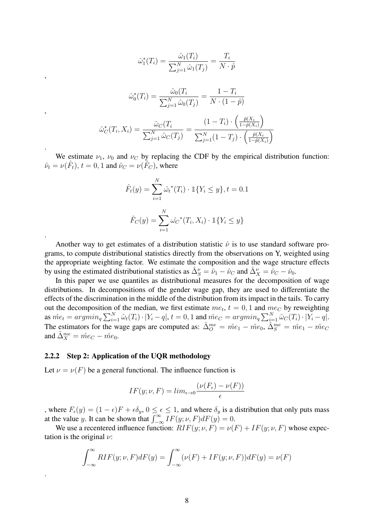$$
\hat{\omega}_1^*(T_i) = \frac{\hat{\omega}_1(T_i)}{\sum_{j=1}^N \hat{\omega}_1(T_j)} = \frac{T_i}{N \cdot \hat{p}}
$$

$$
\hat{\omega}_0^*(T_i) = \frac{\hat{\omega}_0(T_i)}{\sum_{j=1}^N \hat{\omega}_0(T_j)} = \frac{1 - T_i}{N \cdot (1 - \hat{p})}
$$

$$
\hat{\omega}_C^*(T_i, X_i) = \frac{\hat{\omega}_C(T_i)}{\sum_{j=1}^N \hat{\omega}_C(T_j)} = \frac{(1 - T_i) \cdot \left(\frac{\hat{p}(X_i)}{1 - \hat{p}(X_i)}\right)}{\sum_{j=1}^N (1 - T_j) \cdot \left(\frac{\hat{p}(X_i)}{1 - \hat{p}(X_i)}\right)}
$$

We estimate  $\nu_1$ ,  $\nu_0$  and  $\nu_C$  by replacing the CDF by the empirical distribution function:  $\hat{\nu}_t = \nu(\hat{F}_t), t = 0, 1$  and  $\hat{\nu}_C = \nu(\hat{F}_C)$ , where

$$
\hat{F}_t(y) = \sum_{i=1}^N \hat{\omega}_t^*(T_i) \cdot \mathbb{1}\{Y_i \le y\}, t = 0.1
$$

$$
\hat{F}_C(y) = \sum_{i=1}^N \hat{\omega}_C^*(T_i, X_i) \cdot \mathbb{1}\{Y_i \le y\}
$$

Another way to get estimates of a distribution statistic  $\hat{\nu}$  is to use standard software programs, to compute distributional statistics directly from the observations on Y, weighted using the appropriate weighting factor. We estimate the composition and the wage structure effects by using the estimated distributional statistics as  $\hat{\Delta}_{S}^{\nu} = \hat{\nu}_1 - \hat{\nu}_C$  and  $\hat{\Delta}_{X}^{\nu} = \hat{\nu}_C - \hat{\nu}_0$ .

In this paper we use quantiles as distributional measures for the decomposition of wage distributions. In decompositions of the gender wage gap, they are used to differentiate the effects of the discrimination in the middle of the distribution from its impact in the tails. To carry out the decomposition of the median, we first estimate  $me_t$ ,  $t = 0, 1$  and  $me_C$  by reweighting as  $\hat{me}_t = argmin_q \sum_{i=1}^{N} \hat{\omega}_t(T_i) \cdot |Y_i - q|, t = 0, 1$  and  $\hat{me}_C = argmin_q \sum_{i=1}^{N} \hat{\omega}_C(T_i) \cdot |Y_i - q|$ . The estimators for the wage gaps are computed as:  $\hat{\Delta}_{O}^{me} = \hat{me}_1 - \hat{me}_0$ ,  $\hat{\Delta}_{S}^{me} = \hat{me}_1 - \hat{me}_C$ and  $\hat{\Delta}_X^{me} = \hat{m}e_C - \hat{m}e_0$ .

#### 2.2.2 Step 2: Application of the UQR methodology

,

,

.

.

.

Let  $\nu = \nu(F)$  be a general functional. The influence function is

$$
IF(y; \nu, F) = lim_{\epsilon \to 0} \frac{(\nu(F_{\epsilon}) - \nu(F))}{\epsilon}
$$

, where  $F_{\epsilon}(y) = (1 - \epsilon)F + \epsilon \delta_{y}$ ,  $0 \le \epsilon \le 1$ , and where  $\delta_{y}$  is a distribution that only puts mass at the value y. It can be shown that  $\int_{-\infty}^{\infty} \overline{IF(y; \nu, F)} dF(y) = 0$ .

We use a recentered influence function:  $RIF(y; \nu, F) = \nu(F) + IF(y; \nu, F)$  whose expectation is the original  $\nu$ :

$$
\int_{-\infty}^{\infty} RIF(y; \nu, F) dF(y) = \int_{-\infty}^{\infty} (\nu(F) + IF(y; \nu, F)) dF(y) = \nu(F)
$$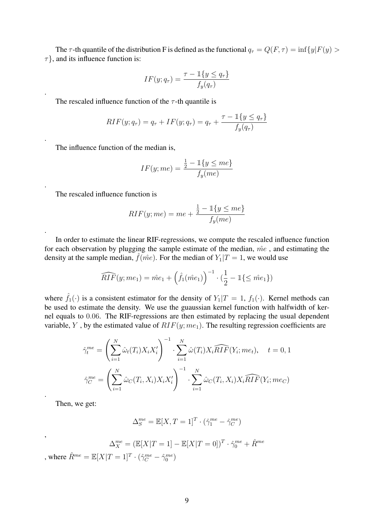The  $\tau$ -th quantile of the distribution F is defined as the functional  $q_{\tau} = Q(F, \tau) = \inf \{y | F(y) >$  $\tau$ , and its influence function is:

$$
IF(y; q_\tau) = \frac{\tau - \mathbb{1}\{y \le q_\tau\}}{f_y(q_\tau)}
$$

The rescaled influence function of the  $\tau$ -th quantile is

$$
RIF(y; q_{\tau}) = q_{\tau} + IF(y; q_{\tau}) = q_{\tau} + \frac{\tau - \mathbb{1}\{y \le q_{\tau}\}}{f_y(q_{\tau})}
$$

The influence function of the median is,

$$
IF(y; me) = \frac{\frac{1}{2} - \mathbb{1}\{y \le me\}}{f_y(me)}
$$

The rescaled influence function is

.

.

.

.

.

,

$$
RIF(y; me) = me + \frac{\frac{1}{2} - \mathbb{1}{y \le me}}{f_y(me)}
$$

In order to estimate the linear RIF-regressions, we compute the rescaled influence function for each observation by plugging the sample estimate of the median,  $\hat{me}$ , and estimating the density at the sample median,  $\hat{f}(\hat{me})$ . For the median of  $Y_1|T=1$ , we would use

$$
\widehat{RIF}(y; me_1) = \hat{me}_1 + \left(\hat{f}_1(\hat{me}_1)\right)^{-1} \cdot \left(\frac{1}{2} - \mathbb{1}\{\leq \hat{me}_1\}\right)
$$

where  $\hat{f}_1(\cdot)$  is a consistent estimator for the density of  $Y_1|T=1$ ,  $f_1(\cdot)$ . Kernel methods can be used to estimate the density. We use the guaussian kernel function with halfwidth of kernel equals to 0.06. The RIF-regressions are then estimated by replacing the usual dependent variable, Y, by the estimated value of  $RIF(y; me<sub>1</sub>)$ . The resulting regression coefficients are

$$
\hat{\gamma}_t^{me} = \left(\sum_{i=1}^N \hat{\omega}_t(T_i) X_i X_i'\right)^{-1} \cdot \sum_{i=1}^N \hat{\omega}(T_i) X_i \widehat{RIF}(Y_i; me_t), \quad t = 0, 1
$$

$$
\hat{\gamma}_C^{me} = \left(\sum_{i=1}^N \hat{\omega}_C(T_i, X_i) X_i X_i'\right)^{-1} \cdot \sum_{i=1}^N \hat{\omega}_C(T_i, X_i) X_i \widehat{RIF}(Y_i; me_C)
$$

Then, we get:

$$
\Delta_S^{me} = \mathbb{E}[X,T=1]^T \cdot (\hat{\gamma}_1^{me} - \hat{\gamma}_C^{me})
$$

$$
\Delta_X^{me} = (\mathbb{E}[X|T=1] - \mathbb{E}[X|T=0])^T \cdot \hat{\gamma}_0^{me} + \hat{R}^{me}
$$

, where  $\hat{R}^{me} = \mathbb{E}[X|T=1]^T \cdot (\hat{\gamma}_C^{me} - \hat{\gamma}_0^{me})$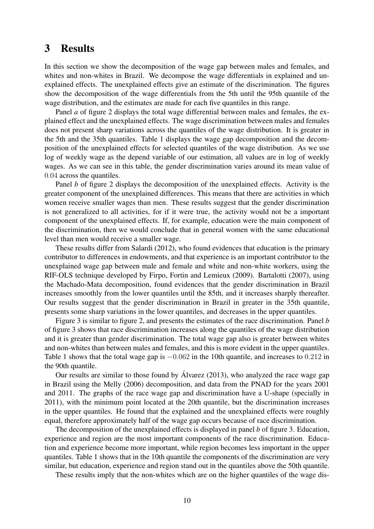## 3 Results

In this section we show the decomposition of the wage gap between males and females, and whites and non-whites in Brazil. We decompose the wage differentials in explained and unexplained effects. The unexplained effects give an estimate of the discrimination. The figures show the decomposition of the wage differentials from the 5th until the 95th quantile of the wage distribution, and the estimates are made for each five quantiles in this range.

Panel *a* of figure 2 displays the total wage differential between males and females, the explained effect and the unexplained effects. The wage discrimination between males and females does not present sharp variations across the quantiles of the wage distribution. It is greater in the 5th and the 35th quantiles. Table 1 displays the wage gap decomposition and the decomposition of the unexplained effects for selected quantiles of the wage distribution. As we use log of weekly wage as the depend variable of our estimation, all values are in log of weekly wages. As we can see in this table, the gender discrimination varies around its mean value of 0.04 across the quantiles.

Panel *b* of figure 2 displays the decomposition of the unexplained effects. Activity is the greater component of the unexplained differences. This means that there are activities in which women receive smaller wages than men. These results suggest that the gender discrimination is not generalized to all activities, for if it were true, the activity would not be a important component of the unexplained effects. If, for example, education were the main component of the discrimination, then we would conclude that in general women with the same educational level than men would receive a smaller wage.

These results differ from Salardi (2012), who found evidences that education is the primary contributor to differences in endowments, and that experience is an important contributor to the unexplained wage gap between male and female and white and non-white workers, using the RIF-OLS technique developed by Firpo, Fortin and Lemieux (2009). Bartalotti (2007), using the Machado-Mata decomposition, found evidences that the gender discrimination in Brazil increases smoothly from the lower quantiles until the 85th, and it increases sharply thereafter. Our results suggest that the gender discrimination in Brazil in greater in the 35th quantile, presents some sharp variations in the lower quantiles, and decreases in the upper quantiles.

Figure 3 is similar to figure 2, and presents the estimates of the race discrimination. Panel *b* of figure 3 shows that race discrimination increases along the quantiles of the wage distribution and it is greater than gender discrimination. The total wage gap also is greater between whites and non-whites than between males and females, and this is more evident in the upper quantiles. Table 1 shows that the total wage gap is  $-0.062$  in the 10th quantile, and increases to 0.212 in the 90th quantile.

Our results are similar to those found by Alvarez (2013), who analyzed the race wage gap ´ in Brazil using the Melly (2006) decomposition, and data from the PNAD for the years 2001 and 2011. The graphs of the race wage gap and discrimination have a U-shape (specially in 2011), with the minimum point located at the 20th quantile, but the discrimination increases in the upper quantiles. He found that the explained and the unexplained effects were roughly equal, therefore approximately half of the wage gap occurs because of race discrimination.

The decomposition of the unexplained effects is displayed in panel *b* of figure 3. Education, experience and region are the most important components of the race discrimination. Education and experience become more important, while region becomes less important in the upper quantiles. Table 1 shows that in the 10th quantile the components of the discrimination are very similar, but education, experience and region stand out in the quantiles above the 50th quantile.

These results imply that the non-whites which are on the higher quantiles of the wage dis-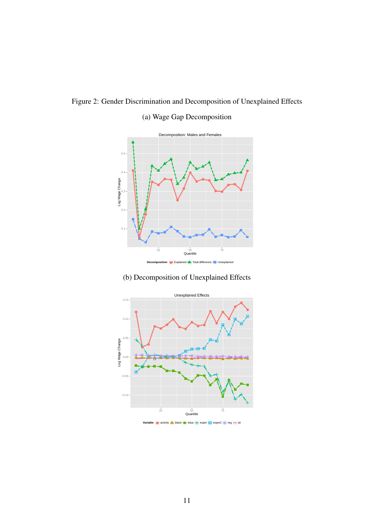

## (a) Wage Gap Decomposition



### (b) Decomposition of Unexplained Effects



#### **Variable** ● activity ▲ black ● educ + exper ※ exper2 \* reg = sit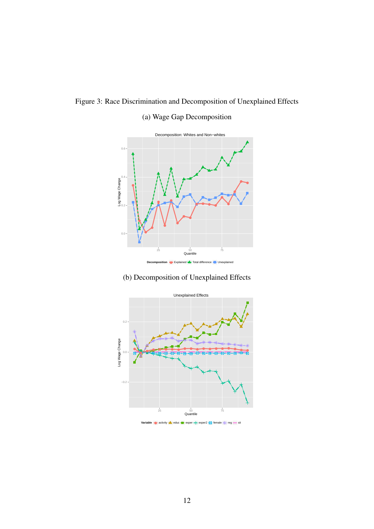Figure 3: Race Discrimination and Decomposition of Unexplained Effects

## (a) Wage Gap Decomposition



### (b) Decomposition of Unexplained Effects

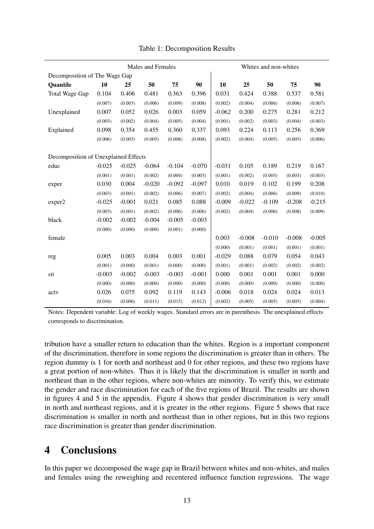|                                      | Males and Females |          |          |          |          | Whites and non-whites |          |          |          |          |
|--------------------------------------|-------------------|----------|----------|----------|----------|-----------------------|----------|----------|----------|----------|
| Decomposition of The Wage Gap        |                   |          |          |          |          |                       |          |          |          |          |
| Quantile                             | 10                | 25       | 50       | 75       | 90       | 10                    | 25       | 50       | 75       | 90       |
| Total Wage Gap                       | 0.104             | 0.406    | 0.481    | 0.363    | 0.396    | 0.031                 | 0.424    | 0.388    | 0.537    | 0.581    |
|                                      | (0.007)           | (0.003)  | (0.006)  | (0.009)  | (0.008)  | (0.002)               | (0.004)  | (0.006)  | (0.006)  | (0.007)  |
| Unexplained                          | 0.007             | 0.052    | 0.026    | 0.003    | 0.059    | $-0.062$              | 0.200    | 0.275    | 0.281    | 0.212    |
|                                      | (0.003)           | (0.002)  | (0.004)  | (0.005)  | (0.004)  | (0.001)               | (0.002)  | (0.003)  | (0.004)  | (0.003)  |
| Explained                            | 0.098             | 0.354    | 0.455    | 0.360    | 0.337    | 0.093                 | 0.224    | 0.113    | 0.256    | 0.369    |
|                                      | (0.006)           | (0.003)  | (0.005)  | (0.008)  | (0.008)  | (0.002)               | (0.004)  | (0.005)  | (0.005)  | (0.006)  |
|                                      |                   |          |          |          |          |                       |          |          |          |          |
| Decomposition of Unexplained Effects |                   |          |          |          |          |                       |          |          |          |          |
| educ                                 | $-0.025$          | $-0.025$ | $-0.064$ | $-0.104$ | $-0.070$ | $-0.031$              | 0.105    | 0.189    | 0.219    | 0.167    |
|                                      | (0.001)           | (0.001)  | (0.002)  | (0.004)  | (0.003)  | (0.001)               | (0.002)  | (0.003)  | (0.003)  | (0.003)  |
| exper                                | 0.030             | 0.004    | $-0.020$ | $-0.092$ | $-0.097$ | 0.010                 | 0.019    | 0.102    | 0.199    | 0.208    |
|                                      | (0.003)           | (0.001)  | (0.002)  | (0.006)  | (0.007)  | (0.002)               | (0.004)  | (0.006)  | (0.009)  | (0.010)  |
| exper2                               | $-0.025$          | $-0.001$ | 0.021    | 0.085    | 0.088    | $-0.009$              | $-0.022$ | $-0.109$ | $-0.208$ | $-0.215$ |
|                                      | (0.003)           | (0.001)  | (0.002)  | (0.006)  | (0.006)  | (0.002)               | (0.004)  | (0.006)  | (0.008)  | (0.009)  |
| black                                | $-0.002$          | $-0.002$ | $-0.004$ | $-0.005$ | $-0.003$ |                       |          |          |          |          |
|                                      | (0.000)           | (0.000)  | (0.000)  | (0.001)  | (0.000)  |                       |          |          |          |          |
| female                               |                   |          |          |          |          | 0.003                 | $-0.008$ | $-0.010$ | $-0.008$ | $-0.005$ |
|                                      |                   |          |          |          |          | (0.000)               | (0.001)  | (0.001)  | (0.001)  | (0.001)  |
| reg                                  | 0.005             | 0.003    | 0.004    | 0.003    | 0.001    | $-0.029$              | 0.088    | 0.079    | 0.054    | 0.043    |
|                                      | (0.001)           | (0.000)  | (0.001)  | (0.000)  | (0.000)  | (0.001)               | (0.001)  | (0.002)  | (0.002)  | (0.002)  |
| sit                                  | $-0.003$          | $-0.002$ | $-0.003$ | $-0.003$ | $-0.001$ | 0.000                 | 0.001    | 0.001    | 0.001    | 0.000    |
|                                      | (0.000)           | (0.000)  | (0.000)  | (0.000)  | (0.000)  | (0.000)               | (0.000)  | (0.000)  | (0.000)  | (0.000)  |
| actv                                 | 0.026             | 0.075    | 0.092    | 0.119    | 0.143    | $-0.006$              | 0.018    | 0.024    | 0.024    | 0.013    |
|                                      | (0.016)           | (0.006)  | (0.011)  | (0.015)  | (0.012)  | (0.002)               | (0.005)  | (0.005)  | (0.005)  | (0.004)  |

Table 1: Decomposition Results

Notes: Dependent variable: Log of weekly wages. Standard errors are in parenthesis. The unexplained effects corresponds to discrimination.

tribution have a smaller return to education than the whites. Region is a important component of the discrimination, therefore in some regions the discrimination is greater than in others. The region dummy is 1 for north and northeast and 0 for other regions, and these two regions have a great portion of non-whites. Thus it is likely that the discrimination is smaller in north and northeast than in the other regions, where non-whites are minority. To verify this, we estimate the gender and race discrimination for each of the five regions of Brazil. The results are shown in figures 4 and 5 in the appendix. Figure 4 shows that gender discrimination is very small in north and northeast regions, and it is greater in the other regions. Figure 5 shows that race discrimination is smaller in north and northeast than in other regions, but in this two regions race discrimination is greater than gender discrimination.

## 4 Conclusions

In this paper we decomposed the wage gap in Brazil between whites and non-whites, and males and females using the reweighing and recentered influence function regressions. The wage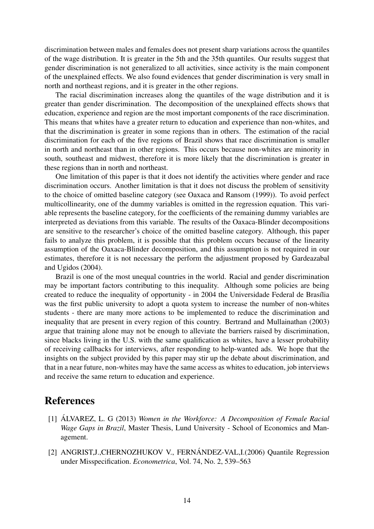discrimination between males and females does not present sharp variations across the quantiles of the wage distribution. It is greater in the 5th and the 35th quantiles. Our results suggest that gender discrimination is not generalized to all activities, since activity is the main component of the unexplained effects. We also found evidences that gender discrimination is very small in north and northeast regions, and it is greater in the other regions.

The racial discrimination increases along the quantiles of the wage distribution and it is greater than gender discrimination. The decomposition of the unexplained effects shows that education, experience and region are the most important components of the race discrimination. This means that whites have a greater return to education and experience than non-whites, and that the discrimination is greater in some regions than in others. The estimation of the racial discrimination for each of the five regions of Brazil shows that race discrimination is smaller in north and northeast than in other regions. This occurs because non-whites are minority in south, southeast and midwest, therefore it is more likely that the discrimination is greater in these regions than in north and northeast.

One limitation of this paper is that it does not identify the activities where gender and race discrimination occurs. Another limitation is that it does not discuss the problem of sensitivity to the choice of omitted baseline category (see Oaxaca and Ransom (1999)). To avoid perfect multicollinearity, one of the dummy variables is omitted in the regression equation. This variable represents the baseline category, for the coefficients of the remaining dummy variables are interpreted as deviations from this variable. The results of the Oaxaca-Blinder decompositions are sensitive to the researcher's choice of the omitted baseline category. Although, this paper fails to analyze this problem, it is possible that this problem occurs because of the linearity assumption of the Oaxaca-Blinder decomposition, and this assumption is not required in our estimates, therefore it is not necessary the perform the adjustment proposed by Gardeazabal and Ugidos (2004).

Brazil is one of the most unequal countries in the world. Racial and gender discrimination may be important factors contributing to this inequality. Although some policies are being created to reduce the inequality of opportunity - in 2004 the Universidade Federal de Brasília was the first public university to adopt a quota system to increase the number of non-whites students - there are many more actions to be implemented to reduce the discrimination and inequality that are present in every region of this country. Bertrand and Mullainathan (2003) argue that training alone may not be enough to alleviate the barriers raised by discrimination, since blacks living in the U.S. with the same qualification as whites, have a lesser probability of receiving callbacks for interviews, after responding to help-wanted ads. We hope that the insights on the subject provided by this paper may stir up the debate about discrimination, and that in a near future, non-whites may have the same access as whites to education, job interviews and receive the same return to education and experience.

## References

- [1] ÁLVAREZ, L. G (2013) Women in the Workforce: A Decomposition of Female Racial *Wage Gaps in Brazil*, Master Thesis, Lund University - School of Economics and Management.
- [2] ANGRIST,J.,CHERNOZHUKOV V., FERNÁNDEZ-VAL,I.(2006) Quantile Regression under Misspecification. *Econometrica*, Vol. 74, No. 2, 539–563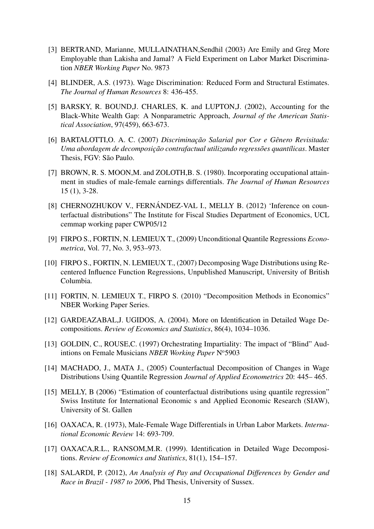- [3] BERTRAND, Marianne, MULLAINATHAN,Sendhil (2003) Are Emily and Greg More Employable than Lakisha and Jamal? A Field Experiment on Labor Market Discrimination *NBER Working Paper* No. 9873
- [4] BLINDER, A.S. (1973). Wage Discrimination: Reduced Form and Structural Estimates. *The Journal of Human Resources* 8: 436-455.
- [5] BARSKY, R. BOUND,J. CHARLES, K. and LUPTON,J. (2002), Accounting for the Black-White Wealth Gap: A Nonparametric Approach, *Journal of the American Statistical Association*, 97(459), 663-673.
- [6] BARTALOTTI,O. A. C. (2007) *Discriminac¸ao Salarial por Cor e G ˜ enero Revisitada: ˆ Uma abordagem de decomposic¸ao contrafactual utilizando regress ˜ oes quant ˜ ´ılicas*. Master Thesis, FGV: São Paulo.
- [7] BROWN, R. S. MOON, M. and ZOLOTH, B. S. (1980). Incorporating occupational attainment in studies of male-female earnings differentials. *The Journal of Human Resources* 15 (1), 3-28.
- [8] CHERNOZHUKOV V., FERNÁNDEZ-VAL I., MELLY B. (2012) 'Inference on counterfactual distributions" The Institute for Fiscal Studies Department of Economics, UCL cemmap working paper CWP05/12
- [9] FIRPO S., FORTIN, N. LEMIEUX T., (2009) Unconditional Quantile Regressions *Econometrica*, Vol. 77, No. 3, 953–973.
- [10] FIRPO S., FORTIN, N. LEMIEUX T., (2007) Decomposing Wage Distributions using Recentered Influence Function Regressions, Unpublished Manuscript, University of British Columbia.
- [11] FORTIN, N. LEMIEUX T., FIRPO S. (2010) "Decomposition Methods in Economics" NBER Working Paper Series.
- [12] GARDEAZABAL, J. UGIDOS, A. (2004). More on Identification in Detailed Wage Decompositions. *Review of Economics and Statistics*, 86(4), 1034–1036.
- [13] GOLDIN, C., ROUSE, C. (1997) Orchestrating Impartiality: The impact of "Blind" Audintions on Female Musicians NBER Working Paper N°5903
- [14] MACHADO, J., MATA J., (2005) Counterfactual Decomposition of Changes in Wage Distributions Using Quantile Regression *Journal of Applied Econometrics* 20: 445– 465.
- [15] MELLY, B (2006) "Estimation of counterfactual distributions using quantile regression" Swiss Institute for International Economic s and Applied Economic Research (SIAW), University of St. Gallen
- [16] OAXACA, R. (1973), Male-Female Wage Differentials in Urban Labor Markets. *International Economic Review* 14: 693-709.
- [17] OAXACA,R.L., RANSOM,M.R. (1999). Identification in Detailed Wage Decompositions. *Review of Economics and Statistics*, 81(1), 154–157.
- [18] SALARDI, P. (2012), *An Analysis of Pay and Occupational Differences by Gender and Race in Brazil - 1987 to 2006*, Phd Thesis, University of Sussex.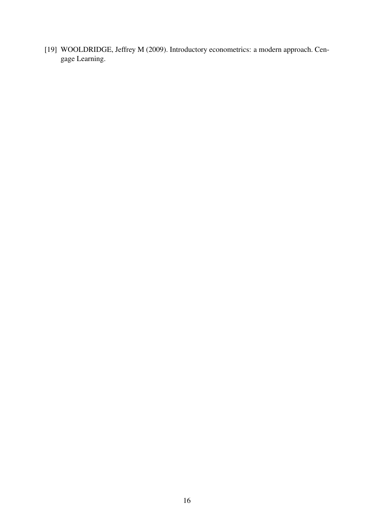[19] WOOLDRIDGE, Jeffrey M (2009). Introductory econometrics: a modern approach. Cengage Learning.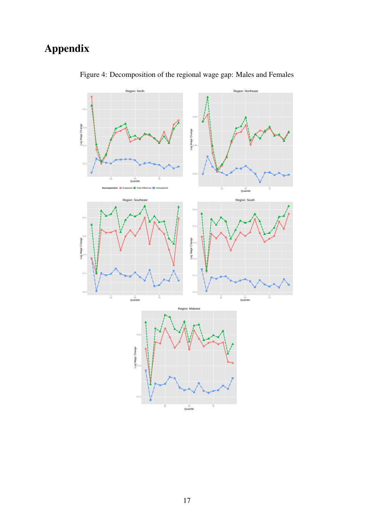# Appendix



Figure 4: Decomposition of the regional wage gap: Males and Females